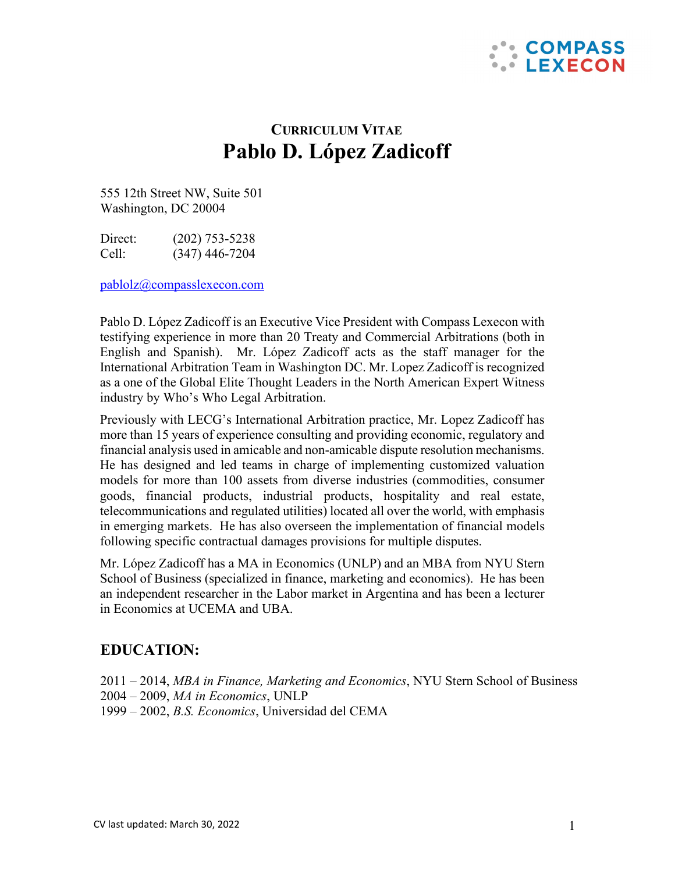

# **CURRICULUM VITAE Pablo D. López Zadicoff**

555 12th Street NW, Suite 501 Washington, DC 20004

Direct: (202) 753-5238 Cell: (347) 446-7204

[pablolz@compasslexecon.com](mailto:pablolz@compasslexecon.com)

Pablo D. López Zadicoff is an Executive Vice President with Compass Lexecon with testifying experience in more than 20 Treaty and Commercial Arbitrations (both in English and Spanish). Mr. López Zadicoff acts as the staff manager for the International Arbitration Team in Washington DC. Mr. Lopez Zadicoff is recognized as a one of the Global Elite Thought Leaders in the North American Expert Witness industry by Who's Who Legal Arbitration.

Previously with LECG's International Arbitration practice, Mr. Lopez Zadicoff has more than 15 years of experience consulting and providing economic, regulatory and financial analysis used in amicable and non-amicable dispute resolution mechanisms. He has designed and led teams in charge of implementing customized valuation models for more than 100 assets from diverse industries (commodities, consumer goods, financial products, industrial products, hospitality and real estate, telecommunications and regulated utilities) located all over the world, with emphasis in emerging markets. He has also overseen the implementation of financial models following specific contractual damages provisions for multiple disputes.

Mr. López Zadicoff has a MA in Economics (UNLP) and an MBA from NYU Stern School of Business (specialized in finance, marketing and economics). He has been an independent researcher in the Labor market in Argentina and has been a lecturer in Economics at UCEMA and UBA.

## **EDUCATION:**

2011 – 2014, *MBA in Finance, Marketing and Economics*, NYU Stern School of Business 2004 – 2009, *MA in Economics*, UNLP 1999 – 2002, *B.S. Economics*, Universidad del CEMA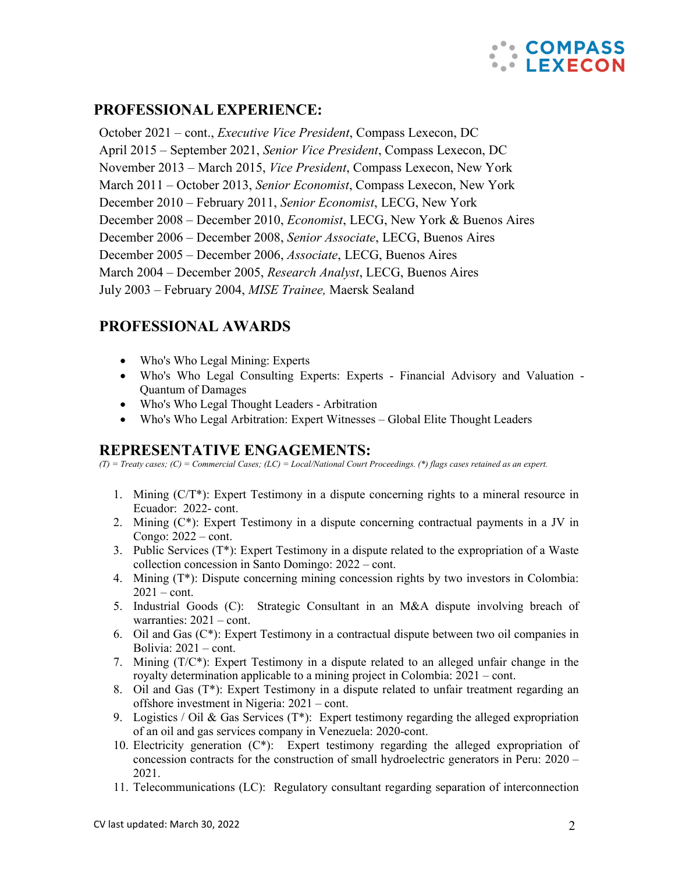

## **PROFESSIONAL EXPERIENCE:**

October 2021 – cont., *Executive Vice President*, Compass Lexecon, DC April 2015 – September 2021, *Senior Vice President*, Compass Lexecon, DC November 2013 – March 2015, *Vice President*, Compass Lexecon, New York March 2011 – October 2013, *Senior Economist*, Compass Lexecon, New York December 2010 – February 2011, *Senior Economist*, LECG, New York December 2008 – December 2010, *Economist*, LECG, New York & Buenos Aires December 2006 – December 2008, *Senior Associate*, LECG, Buenos Aires December 2005 – December 2006, *Associate*, LECG, Buenos Aires March 2004 – December 2005, *Research Analyst*, LECG, Buenos Aires July 2003 – February 2004, *MISE Trainee,* Maersk Sealand

## **PROFESSIONAL AWARDS**

- [Who's Who Legal Mining: Experts](https://whoswholegal.com/practiceareas/9/mining/)
- [Who's Who Legal Consulting Experts: Experts -](https://whoswholegal.com/practiceareas/153/consulting-experts/) Financial Advisory and Valuation [Quantum of Damages](https://whoswholegal.com/practiceareas/153/consulting-experts/)
- [Who's Who Legal Thought Leaders -](https://whoswholegal.com/practiceareas/157/thought-leaders-arbitration/) Arbitration
- [Who's Who Legal Arbitration: Expert Witnesses](https://whoswholegal.com/practiceareas/20/arbitration/) Global Elite Thought Leaders

## **REPRESENTATIVE ENGAGEMENTS:**

*(T) = Treaty cases; (C) = Commercial Cases; (LC) = Local/National Court Proceedings. (\*) flags cases retained as an expert.*

- 1. Mining (C/T\*): Expert Testimony in a dispute concerning rights to a mineral resource in Ecuador: 2022- cont.
- 2. Mining  $(C^*)$ : Expert Testimony in a dispute concerning contractual payments in a JV in Congo: 2022 – cont.
- 3. Public Services  $(T^*)$ : Expert Testimony in a dispute related to the expropriation of a Waste collection concession in Santo Domingo: 2022 – cont.
- 4. Mining (T\*): Dispute concerning mining concession rights by two investors in Colombia:  $2021 - \text{cont.}$
- 5. Industrial Goods (C): Strategic Consultant in an M&A dispute involving breach of warranties: 2021 – cont.
- 6. Oil and Gas (C\*): Expert Testimony in a contractual dispute between two oil companies in Bolivia: 2021 – cont.
- 7. Mining  $(T/C^*)$ : Expert Testimony in a dispute related to an alleged unfair change in the royalty determination applicable to a mining project in Colombia: 2021 – cont.
- 8. Oil and Gas  $(T^*)$ : Expert Testimony in a dispute related to unfair treatment regarding an offshore investment in Nigeria: 2021 – cont.
- 9. Logistics / Oil & Gas Services ( $T^*$ ): Expert testimony regarding the alleged expropriation of an oil and gas services company in Venezuela: 2020-cont.
- 10. Electricity generation  $(C^*)$ : Expert testimony regarding the alleged expropriation of concession contracts for the construction of small hydroelectric generators in Peru: 2020 – 2021.
- 11. Telecommunications (LC): Regulatory consultant regarding separation of interconnection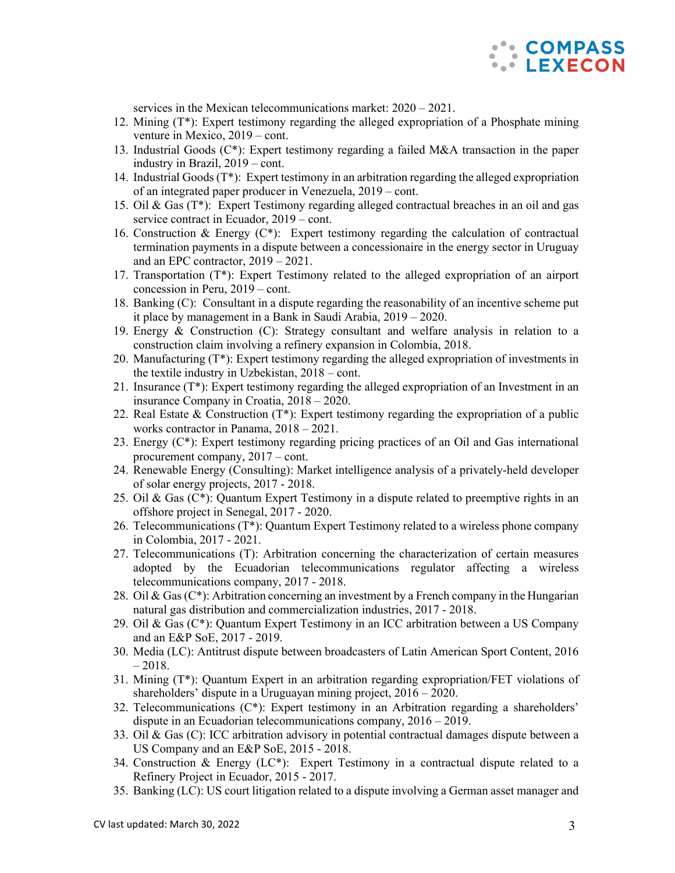

services in the Mexican telecommunications market: 2020 – 2021.

- 12. Mining (T\*): Expert testimony regarding the alleged expropriation of a Phosphate mining venture in Mexico, 2019 – cont.
- 13. Industrial Goods (C\*): Expert testimony regarding a failed M&A transaction in the paper industry in Brazil, 2019 – cont.
- 14. Industrial Goods (T\*): Expert testimony in an arbitration regarding the alleged expropriation of an integrated paper producer in Venezuela, 2019 – cont.
- 15. Oil & Gas (T\*): Expert Testimony regarding alleged contractual breaches in an oil and gas service contract in Ecuador, 2019 – cont.
- 16. Construction & Energy  $(C^*)$ : Expert testimony regarding the calculation of contractual termination payments in a dispute between a concessionaire in the energy sector in Uruguay and an EPC contractor, 2019 – 2021.
- 17. Transportation (T\*): Expert Testimony related to the alleged expropriation of an airport concession in Peru, 2019 – cont.
- 18. Banking (C): Consultant in a dispute regarding the reasonability of an incentive scheme put it place by management in a Bank in Saudi Arabia, 2019 – 2020.
- 19. Energy & Construction (C): Strategy consultant and welfare analysis in relation to a construction claim involving a refinery expansion in Colombia, 2018.
- 20. Manufacturing  $(T^*)$ : Expert testimony regarding the alleged expropriation of investments in the textile industry in Uzbekistan, 2018 – cont.
- 21. Insurance (T\*): Expert testimony regarding the alleged expropriation of an Investment in an insurance Company in Croatia, 2018 – 2020.
- 22. Real Estate & Construction (T\*): Expert testimony regarding the expropriation of a public works contractor in Panama, 2018 – 2021.
- 23. Energy (C\*): Expert testimony regarding pricing practices of an Oil and Gas international procurement company, 2017 – cont.
- 24. Renewable Energy (Consulting): Market intelligence analysis of a privately-held developer of solar energy projects, 2017 - 2018.
- 25. Oil & Gas  $(C^*)$ : Quantum Expert Testimony in a dispute related to preemptive rights in an offshore project in Senegal, 2017 - 2020.
- 26. Telecommunications (T\*): Quantum Expert Testimony related to a wireless phone company in Colombia, 2017 - 2021.
- 27. Telecommunications (T): Arbitration concerning the characterization of certain measures adopted by the Ecuadorian telecommunications regulator affecting a wireless telecommunications company, 2017 - 2018.
- 28. Oil & Gas ( $C^*$ ): Arbitration concerning an investment by a French company in the Hungarian natural gas distribution and commercialization industries, 2017 - 2018.
- 29. Oil & Gas  $(C^*)$ : Quantum Expert Testimony in an ICC arbitration between a US Company and an E&P SoE, 2017 - 2019.
- 30. Media (LC): Antitrust dispute between broadcasters of Latin American Sport Content, 2016  $-2018.$
- 31. Mining (T\*): Quantum Expert in an arbitration regarding expropriation/FET violations of shareholders' dispute in a Uruguayan mining project, 2016 – 2020.
- 32. Telecommunications (C\*): Expert testimony in an Arbitration regarding a shareholders' dispute in an Ecuadorian telecommunications company, 2016 – 2019.
- 33. Oil & Gas (C): ICC arbitration advisory in potential contractual damages dispute between a US Company and an E&P SoE, 2015 - 2018.
- 34. Construction & Energy (LC\*): Expert Testimony in a contractual dispute related to a Refinery Project in Ecuador, 2015 - 2017.
- 35. Banking (LC): US court litigation related to a dispute involving a German asset manager and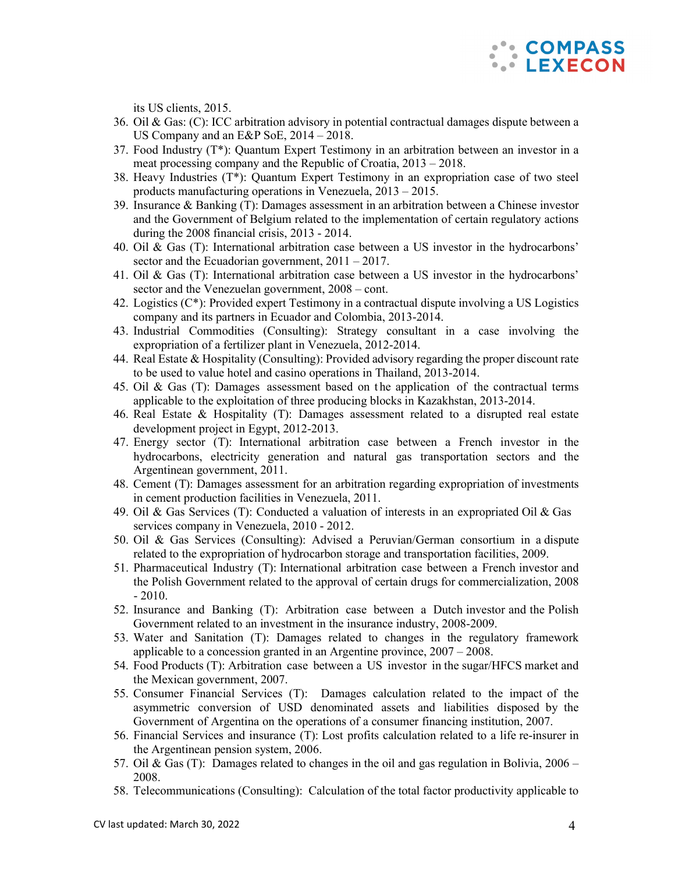

its US clients, 2015.

- 36. Oil & Gas: (C): ICC arbitration advisory in potential contractual damages dispute between a US Company and an E&P SoE, 2014 – 2018.
- 37. Food Industry (T\*): Quantum Expert Testimony in an arbitration between an investor in a meat processing company and the Republic of Croatia, 2013 – 2018.
- 38. Heavy Industries (T\*): Quantum Expert Testimony in an expropriation case of two steel products manufacturing operations in Venezuela, 2013 – 2015.
- 39. Insurance & Banking (T): Damages assessment in an arbitration between a Chinese investor and the Government of Belgium related to the implementation of certain regulatory actions during the 2008 financial crisis, 2013 - 2014.
- 40. Oil & Gas (T): International arbitration case between a US investor in the hydrocarbons' sector and the Ecuadorian government,  $2011 - 2017$ .
- 41. Oil & Gas (T): International arbitration case between a US investor in the hydrocarbons' sector and the Venezuelan government, 2008 – cont.
- 42. Logistics (C\*): Provided expert Testimony in a contractual dispute involving a US Logistics company and its partners in Ecuador and Colombia, 2013-2014.
- 43. Industrial Commodities (Consulting): Strategy consultant in a case involving the expropriation of a fertilizer plant in Venezuela, 2012-2014.
- 44. Real Estate & Hospitality (Consulting): Provided advisory regarding the proper discount rate to be used to value hotel and casino operations in Thailand, 2013-2014.
- 45. Oil & Gas (T): Damages assessment based on t he application of the contractual terms applicable to the exploitation of three producing blocks in Kazakhstan, 2013-2014.
- 46. Real Estate & Hospitality (T): Damages assessment related to a disrupted real estate development project in Egypt, 2012-2013.
- 47. Energy sector (T): International arbitration case between a French investor in the hydrocarbons, electricity generation and natural gas transportation sectors and the Argentinean government, 2011.
- 48. Cement (T): Damages assessment for an arbitration regarding expropriation of investments in cement production facilities in Venezuela, 2011.
- 49. Oil & Gas Services (T): Conducted a valuation of interests in an expropriated Oil & Gas services company in Venezuela, 2010 - 2012.
- 50. Oil & Gas Services (Consulting): Advised a Peruvian/German consortium in a dispute related to the expropriation of hydrocarbon storage and transportation facilities, 2009.
- 51. Pharmaceutical Industry (T): International arbitration case between a French investor and the Polish Government related to the approval of certain drugs for commercialization, 2008 - 2010.
- 52. Insurance and Banking (T): Arbitration case between a Dutch investor and the Polish Government related to an investment in the insurance industry, 2008-2009.
- 53. Water and Sanitation (T): Damages related to changes in the regulatory framework applicable to a concession granted in an Argentine province, 2007 – 2008.
- 54. Food Products (T): Arbitration case between a US investor in the sugar/HFCS market and the Mexican government, 2007.
- 55. Consumer Financial Services (T): Damages calculation related to the impact of the asymmetric conversion of USD denominated assets and liabilities disposed by the Government of Argentina on the operations of a consumer financing institution, 2007.
- 56. Financial Services and insurance (T): Lost profits calculation related to a life re-insurer in the Argentinean pension system, 2006.
- 57. Oil & Gas (T): Damages related to changes in the oil and gas regulation in Bolivia, 2006 2008.
- 58. Telecommunications (Consulting): Calculation of the total factor productivity applicable to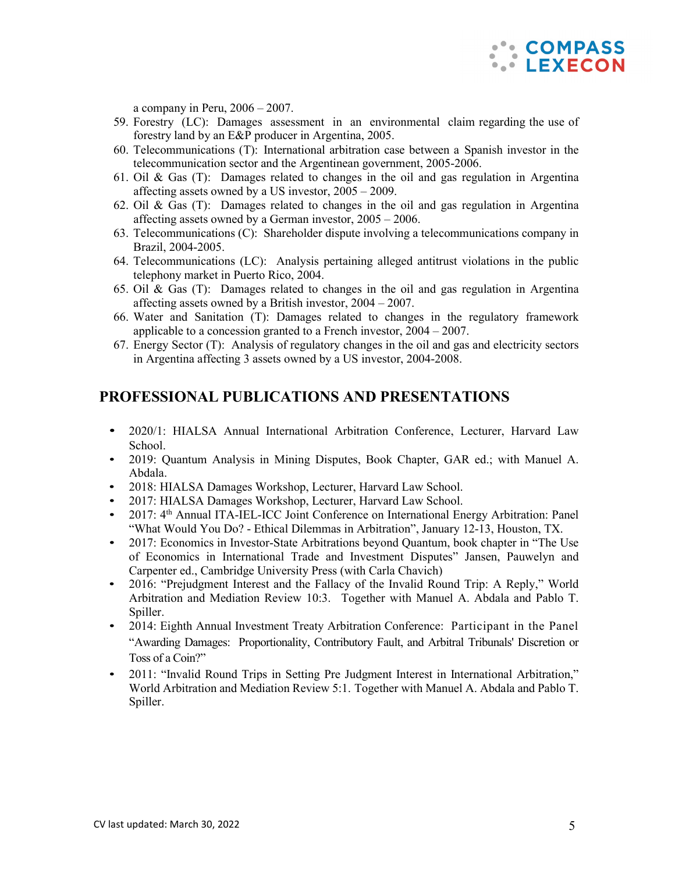

a company in Peru,  $2006 - 2007$ .

- 59. Forestry (LC): Damages assessment in an environmental claim regarding the use of forestry land by an E&P producer in Argentina, 2005.
- 60. Telecommunications (T): International arbitration case between a Spanish investor in the telecommunication sector and the Argentinean government, 2005-2006.
- 61. Oil  $\&$  Gas (T): Damages related to changes in the oil and gas regulation in Argentina affecting assets owned by a US investor, 2005 – 2009.
- 62. Oil & Gas (T): Damages related to changes in the oil and gas regulation in Argentina affecting assets owned by a German investor, 2005 – 2006.
- 63. Telecommunications (C): Shareholder dispute involving a telecommunications company in Brazil, 2004-2005.
- 64. Telecommunications (LC): Analysis pertaining alleged antitrust violations in the public telephony market in Puerto Rico, 2004.
- 65. Oil & Gas (T): Damages related to changes in the oil and gas regulation in Argentina affecting assets owned by a British investor, 2004 – 2007.
- 66. Water and Sanitation (T): Damages related to changes in the regulatory framework applicable to a concession granted to a French investor, 2004 – 2007.
- 67. Energy Sector (T): Analysis of regulatory changes in the oil and gas and electricity sectors in Argentina affecting 3 assets owned by a US investor, 2004-2008.

## **PROFESSIONAL PUBLICATIONS AND PRESENTATIONS**

- 2020/1: HIALSA Annual International Arbitration Conference, Lecturer, Harvard Law School.
- 2019: Quantum Analysis in Mining Disputes, Book Chapter, GAR ed.; with Manuel A. Abdala.
- 2018: HIALSA Damages Workshop, Lecturer, Harvard Law School.
- 2017: HIALSA Damages Workshop, Lecturer, Harvard Law School.
- 2017: 4<sup>th</sup> Annual ITA-IEL-ICC Joint Conference on International Energy Arbitration: Panel "What Would You Do? - Ethical Dilemmas in Arbitration", January 12-13, Houston, TX.
- 2017: Economics in Investor-State Arbitrations beyond Quantum, book chapter in "The Use" of Economics in International Trade and Investment Disputes" Jansen, Pauwelyn and Carpenter ed., Cambridge University Press (with Carla Chavich)
- 2016: "Prejudgment Interest and the Fallacy of the Invalid Round Trip: A Reply," World Arbitration and Mediation Review 10:3. Together with Manuel A. Abdala and Pablo T. Spiller.
- 2014: Eighth Annual Investment Treaty Arbitration Conference: Participant in the Panel "Awarding Damages: Proportionality, Contributory Fault, and Arbitral Tribunals' Discretion or Toss of a Coin?"
- 2011: "Invalid Round Trips in Setting Pre Judgment Interest in International Arbitration," World Arbitration and Mediation Review 5:1. Together with Manuel A. Abdala and Pablo T. Spiller.